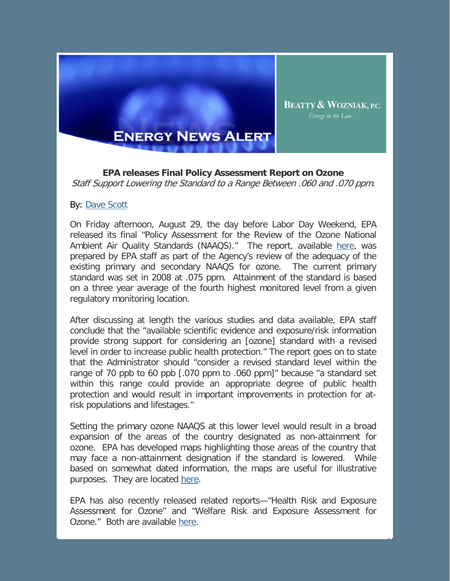

**EPA releases Final Policy Assessment Report on Ozone** Staff Support Lowering the Standard to a Range Between .060 and .070 ppm.

**BEATTY & WOZNIAK, P.C.** Energy in the Law'

## By: [Dave Scott](http://www.bwenergylaw.com/Attorneys/DScott.asp)

On Friday afternoon, August 29, the day before Labor Day Weekend, EPA released its final "Policy Assessment for the Review of the Ozone National Ambient Air Quality Standards (NAAQS)." The report, available [here,](http://www.epa.gov/ttn/naaqs/standards/ozone/data/20140829pa.pdf) was prepared by EPA staff as part of the Agency's review of the adequacy of the existing primary and secondary NAAQS for ozone. The current primary standard was set in 2008 at .075 ppm. Attainment of the standard is based on a three year average of the fourth highest monitored level from a given regulatory monitoring location.

After discussing at length the various studies and data available, EPA staff conclude that the "available scientific evidence and exposure/risk information provide strong support for considering an [ozone] standard with a revised level in order to increase public health protection." The report goes on to state that the Administrator should "consider a revised standard level within the range of 70 ppb to 60 ppb [.070 ppm to .060 ppm]" because "a standard set within this range could provide an appropriate degree of public health protection and would result in important improvements in protection for atrisk populations and lifestages."

Setting the primary ozone NAAQS at this lower level would result in a broad expansion of the areas of the country designated as non-attainment for ozone. EPA has developed maps highlighting those areas of the country that may face a non-attainment designation if the standard is lowered. While based on somewhat dated information, the maps are useful for illustrative purposes. They are located [here.](http://www.epa.gov/groundlevelozone/pdfs/20100104maps.pdf)

EPA has also recently released related reports—"Health Risk and Exposure Assessment for Ozone" and "Welfare Risk and Exposure Assessment for Ozone." Both are available [here.](http://www.epa.gov/ttn/naaqs/standards/ozone/s_o3_2008_rea.html)